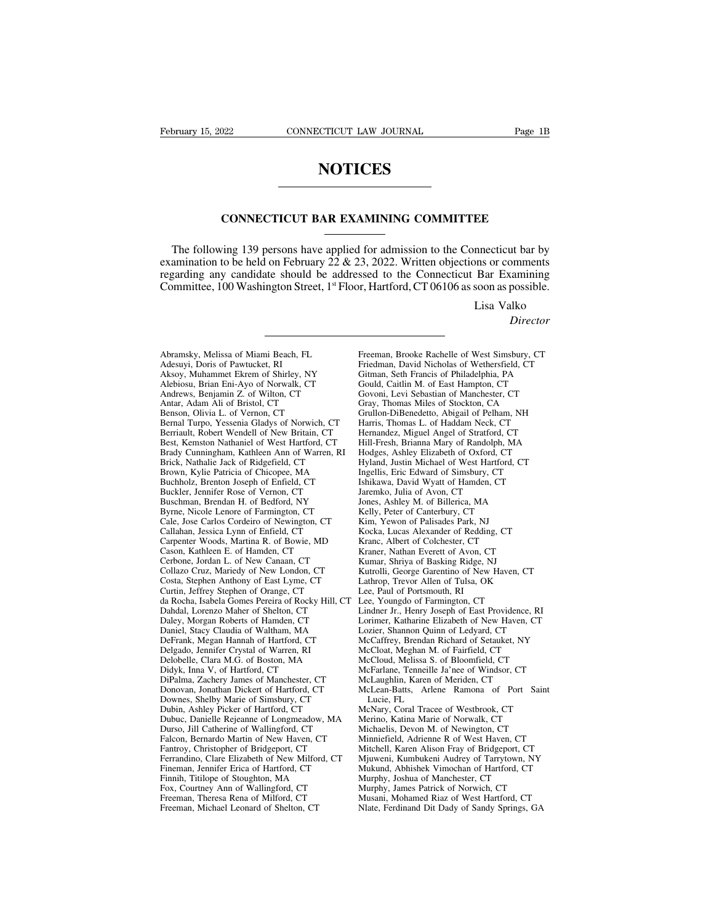## **NOTICES**

# **CONNECTICUT BAR EXAMINING COMMITTEE**

**THE FOLLOW SET ASSEMANT COMMITTEE**<br>The following 139 persons have applied for admission to the Connecticut bar by<br>amination to be held on February 22 & 23, 2022. Written objections or comments<br>garding any candidate shoul **EXAMINING COMMITTEE**<br>
The following 139 persons have applied for admission to the Connecticut bar by<br>
examination to be held on February 22 & 23, 2022. Written objections or comments<br>
regarding any candidate should be ad **CONNECTICUT BAR EXAMINING COMMITTEE**<br>The following 139 persons have applied for admission to the Connecticut bar by<br>examination to be held on February 22 & 23, 2022. Written objections or comments<br>regarding any candidate **CONNECTICUT BAR EXAMINING COMMITTEE**<br>
The following 139 persons have applied for admission to the Connecticut bar by<br>
examination to be held on February 22 & 23, 2022. Written objections or comments<br>
regarding any candid mecticut bar by<br>
nns or comments<br>
Bar Examining<br>
soon as possible.<br>
Lisa Valko<br>
Director

*Director*

Committee, 100 Washington Street, 1 Proof<br>Abramsky, Melissa of Miami Beach, FL<br>Adesuyi, Doris of Pawtucket, RI F<br>Aksoy, Muhammet Ekrem of Shirley, NY C Abramsky, Melissa of Miami Beach, FL<br>Adesuyi, Doris of Pawtucket, RI<br>Aksoy, Muhammet Ekrem of Shirley, NY<br>Alebiosu, Brian Eni-Ayo of Norwalk, CT<br>Andrews, Benjamin Z, of Wilton, CT Abramsky, Melissa of Miami Beach, FL<br>Adesuyi, Doris of Pawtucket, RI<br>Aksoy, Muhammet Ekrem of Shirley, NY Fried<br>Alebiosu, Brian Eni-Ayo of Norwalk, CT Goul<br>Andrews, Benjamin Z. of Wilton, CT Govc Abramsky, Melissa of Miami Beach, FL<br>Adesuyi, Doris of Pawtucket, RI<br>Aksoy, Muhammet Ekrem of Shirley, NY<br>Alebiosu, Brian Eni-Ayo of Norwalk, CT<br>Andrews, Benjamin Z. of Wilton, CT<br>Antar, Adam Ali of Bristol, CT<br>Antar, Adam Abramsky, Melissa of Miami Beach, FL<br>Adesuyi, Doris of Pawtucket, RI<br>Aksoy, Muhammet Ekrem of Shirley, NY<br>Alebiosu, Brian Eni-Ayo of Norwalk, CT<br>Andrews, Benjamin Z. of Wilton, CT<br>Antar, Adam Ali of Bristol, CT<br>Benson, Oli Antar, Adam Ali of Bristol, CT<br>Benson, Olivia L. of Vernon, CT<br>Bernal Turpo, Yessenia Gladys of Norwich, CT Abramsky, Melissa of Miami Beach, FL<br>Adesuyi, Doris of Pawtucket, RI<br>Aksoy, Muhammet Ekrem of Shirley, NY<br>Alebiosu, Brian Eni-Ayo of Norwalk, CT<br>Andrews, Benjamin Z. of Wilton, CT<br>Antar, Adam Ali of Bristol, CT<br>Benson, Oli Adesuyi, Doris of Pawtucket, RI<br>
Adesuyi, Doris of Pawtucket, RI<br>
Aksoy, Muhammet Ekrem of Shirley, NY<br>
Alebiosu, Brian Eni-Ayo of Norwalk, CT<br>
Andrews, Benjamin Z. of Wilton, CT<br>
Antar, Adam Ali of Bristol, CT<br>
Antar, Ada Alssoy, Muhammet Ekrem of Shirley, NY<br>Alssoy, Muhammet Ekrem of Shirley, NY<br>Alebiosu, Brian Eni-Ayo of Norwalk, CT Gould,<br>Andrews, Benjamin Z. of Wilton, CT Govon<br>Antar, Adam Ali of Bristol, CT Gray, T<br>Bernan Turpo, Yessen Alebiosu, Brian Eni-Ayo of Norwalk, CT<br>
Alebiosu, Brian Eni-Ayo of Norwalk, CT<br>
Andrews, Benjamin Z. of Wilton, CT<br>
Andrews, Benjamin Z. of Wilton, CT<br>
Benson, Olivia L. of Vernon, CT<br>
Bernal Turpo, Yessenia Gladys of Norw Andrews, Benjamin Z. of Wilton, CT<br>
Andrews, Benjamin Z. of Wilton, CT<br>
Andrews, Benjamin Z. of Vernon, CT<br>
Bernal Turpo, Yessenia Gladys of Norwich, CT<br>
Bernal Turpo, Yessenia Gladys of Norwich, CT<br>
Hernal Rest, Kemston N Antar, Adam Ali of Bristol, CT<br>Antar, Adam Ali of Bristol, CT<br>Benson, Olivia L. of Vernon, CT<br>Bernal Turpo, Yessenia Gladys of Norwich, CT<br>Berriault, Robert Wendell of New Britain, CT<br>Best, Kemston Nathaniel of West Hartfo Framer, Hammar and Benson, Olivia L. of Vernon, CT<br>Benson, Olivia L. of Vernon, CT<br>Berriault, Robert Wendell of New Britain, CT<br>Best, Kemston Nathaniel of West Hartford, CT<br>Brady Cunningham, Kathleen Ann of Warren, RI<br>Brow Bernal Turpo, Yessenia Gladys of Norwich, CT<br>Bernal Turpo, Yessenia Gladys of Norwich, CT<br>Bernal I, Robert Wendell of New Britain, CT<br>Brady Cunningham, Kathleen Ann of Warren, RI<br>Brick, Nathalie Jack of Ridgefield, CT<br>Brow Berriault, Robert Wendell of New Britain, CT<br>Berriault, Robert Wendell of New Britain, CT<br>Best, Kemston Nathaniel of West Hartford, CT<br>Brick, Nathalie Jack of Ridgefield, CT<br>Brown, Kylie Patricia of Chicopee, MA<br>Buchholz, Best, Kemston Nathaniel of West Hartford, CT<br>Best, Kemston Nathaniel of West Hartford, CT<br>Bridy Cunningham, Kathleen Ann of Warren, RI<br>Brick, Nathalie Jack of Ridgefield, CT<br>Brown, Kylie Patricia of Chicopee, MA<br>Buchholz, Brady Cunningham, Kathleen Ann of Warren, RI H<br>Brick, Nathalie Jack of Ridgefield, CT H<br>Brown, Kylie Patricia of Chicopee, MA In<br>Buchholz, Brenton Joseph of Enfield, CT Is<br>Buckler, Jennifer Rose of Vernon, CT Ja<br>Buschman, Example The Hotel, Nathalie Jack of Ridgefield, CT<br>Brick, Nathalie Jack of Ridgefield, CT<br>Brown, Kylie Patricia of Chicopee, MA<br>Buchholz, Brenton Joseph of Enfield, CT<br>Buschman, Brendan H. of Bedford, NY<br>Buschman, Brendan Brown, Kylie Patricia of Chicopee, MA<br>Brown, Kylie Patricia of Chicopee, MA<br>Buchholz, Brenton Joseph of Enfield, CT<br>Buschman, Brendan H. of Bedford, NY<br>Byrne, Nicole Lenore of Farmington, CT<br>Calle, Jose Carlos Cordeiro of Buchholz, Brenton Joseph of Enfield, CT<br>Buchholz, Brenton Joseph of Enfield, CT<br>Buschman, Brendan H. of Bedford, NY<br>Byrne, Nicole Lenore of Farmington, CT<br>Cale, Jose Carlos Cordeiro of Newington, CT<br>Callahan, Jessica Lynn Buckler, Jennifer Rose of Vernon, CT<br>Buckler, Jennifer Rose of Vernon, CT<br>Buschman, Brendan H. of Bedford, NY<br>Byrne, Nicole Lenore of Farmington, CT<br>Callahan, Jessica Lynn of Enfield, CT<br>Carpenter Woods, Martina R. of Bowi Buschman, Brendan H. of Bedford, NY<br>Byrne, Nicole Lenore of Farmington, CT<br>Cale, Jose Carlos Cordeiro of Newington, CT<br>Callahan, Jessica Lynn of Enfield, CT<br>Carpenter Woods, Martina R. of Bowie, MD<br>Cason, Kathleen E. of Ha Byrne, Nicole Lenore of Farmington, CT<br>
Experiment, Nicole Lenore of Farmington, CT<br>
Calle, Jose Carlos Cordeiro of Newington, CT<br>
Callahan, Jessica Lynn of Enfield, CT<br>
Carpenter Woods, Martina R. of Bowie, MD<br>
Carpenter Cale, Jose Carlos Cordeiro of Newington, CT<br>Cale, Jose Carlos Cordeiro of Newington, CT<br>Callahan, Jessica Lynn of Enfield, CT<br>Carpenter Woods, Martina R. of Bowie, MD<br>Cason, Kathleen E. of Hamden, CT<br>Cerbone, Jordan L. of Cullahan, Jessica Lynn of Enfield, CT<br>Callahan, Jessica Lynn of Enfield, CT<br>Carpenter Woods, Martina R. of Bowie, MD<br>Cason, Kathleen E. of Hamden, CT<br>Cerbone, Jordan L. of New Canaan, CT<br>Collazo Cruz, Mariedy of New London Campenter Woods, Martina R. of Bowie, MD<br>
Carpenter Woods, Martina R. of Bowie, MD<br>
Cason, Kathleen E. of Hamden, CT<br>
Cerbone, Jordan L. of New Canaan, CT<br>
Collazo Cruz, Mariedy of New London, CT<br>
Cuttin, Jeffrey Stephen o Cason, Kathleen E. of Hamden, CT<br>Cason, Kathleen E. of Hamden, CT<br>Cerbone, Jordan L. of New Canaan, CT<br>Collazo Cruz, Mariedy of New London, CT<br>Costa, Stephen Anthony of East Lyme, CT<br>Curtin, Jeffrey Stephen of Orange, CT<br>D Cerbone, Jordan L. of New Canaan, CT<br>Cerbone, Jordan L. of New Canaan, CT<br>Collazo Cruz, Mariedy of New London, CT<br>Costa, Stephen Anthony of East Lyme, CT<br>Curtin, Jeffrey Stephen of Orange, CT<br>Dahdal, Lorenzo Maher of Shelt Collazo Cruz, Mariedy of New London, CT<br>Collazo Cruz, Mariedy of New London, CT<br>Costa, Stephen Anthony of East Lyme, CT<br>Curtin, Jeffrey Stephen of Orange, CT<br>da Rocha, Isabela Gomes Pereira of Rocky Hill, CT<br>Dahdal, Lorenz Costa, Stephen Anthony of East Lyme, CT<br>
Costa, Stephen Anthony of East Lyme, CT<br>
Curtin, Jeffrey Stephen of Orange, CT<br>
da Rocha, Isabela Gomes Pereira of Rocky Hill, CT<br>
Le Dahdal, Lorenzo Maher of Shelton, CT<br>
Daley, Mo Coutin, Jeffrey Stephen of Orange, CT<br>Curtin, Jeffrey Stephen of Orange, CT<br>da Rocha, Isabela Gomes Pereira of Rocky Hill,<br>Dahdal, Lorenzo Maher of Shelton, CT<br>Daniel, Stacy Claudia of Waltham, MA<br>DeFrank, Megan Hannah of Carlin, Scape Browner of Rocky Hill, CT<br>
La Rocha, Isabela Gomes Pereira of Rocky Hill, CT<br>
Dahdal, Lorenzo Maher of Shelton, CT<br>
Dahdal, Lorenzo Maher of Shelton, CT<br>
Daniel, Stacy Claudia of Waltham, MA<br>
Le Prank, Megan a roomal, Kaenar and Dahdal, Lorenzo Maher of Shelton, CT<br>Dahdal, Lorenzo Maher of Shelton, CT<br>Daniel, Stacy Claudia of Waltham, MA<br>DeFrank, Megan Hannah of Hartford, CT<br>Delgado, Jennifer Crystal of Warren, RI<br>Delobelle, C Daley, Morgan Roberts of Hamden, CT<br>Daley, Morgan Roberts of Hamden, CT<br>DeFrank, Megan Hannah of Hartford, CT<br>Delgado, Jennifer Crystal of Warren, RI<br>Delobelle, Clara M.G. of Boston, MA<br>Didyk, Inna V, of Hartford, CT<br>DiPal Daniel, Stacy Claudia of Waltham, MA<br>DeFrank, Megan Hannah of Hartford, CT<br>Delgado, Jennifer Crystal of Warren, RI<br>Delobelle, Clara M.G. of Boston, MA<br>Didyk, Inna V, of Hartford, CT<br>DiPalma, Zachery James of Manchester, CT DeFrank, Megan Hannah of Hartford, CT<br>DeFrank, Megan Hannah of Hartford, CT<br>Delgado, Jennifer Crystal of Warren, RI<br>Delobelle, Clara M.G. of Boston, MA<br>Didyk, Inna V, of Hartford, CT<br>DiPalma, Zachery James of Manchester, C Delgado, Jennifer Crystal of Warren, RI<br>Delgado, Jennifer Crystal of Warren, RI<br>Delobelle, Clara M.G. of Boston, MA<br>Didyk, Inna V, of Hartford, CT<br>DiPalma, Zachery James of Manchester, CT<br>Downes, Shelby Marie of Simsbury, Delobelle, Clara M.G. of Boston, MA<br>
Delobelle, Clara M.G. of Boston, MA<br>
Didyk, Inna V, of Hartford, CT<br>
DiPalma, Zachery James of Manchester, CT<br>
Donovan, Jonathan Dickert of Hartford, CT<br>
Downes, Shelby Marie of Simsbur Didyk, Inna V, of Hartford, CT<br>DiPalma, Zachery James of Manchester, CT<br>DiPalma, Zachery James of Manchester, CT<br>Donovan, Jonathan Dickert of Hartford, CT<br>Downes, Shelby Marie of Simsbury, CT<br>Dubuc, Danielle Rejeanne of Lo Exay, The Theory James of Manchester, CT McLa<br>
DiPalma, Zachery James of Manchester, CT McLa<br>
Downes, Shelby Marie of Simsbury, CT Lubin, Ashley Picker of Hartford, CT Lubin, Ashley Picker of Hartford, CT McN<br>
Dubuc, Danie Dinovan, Jonathan Dickert of Hartford, CT<br>Donovan, Jonathan Dickert of Hartford, CT<br>Dubin, Ashley Picker of Hartford, CT<br>Dubin, Ashley Picker of Hartford, CT<br>Dubin, Chanielle Rejeanne of Longmeadow, MA<br>Durso, Jill Catherin From Thomas, Shelby Marie of Simsbury, CT<br>
Lucie, Dubin, Ashley Picker of Hartford, CT<br>
Dubin, Ashley Picker of Hartford, CT<br>
Dubin, Ashley Picker of Hartford, CT<br>
Therino, Ill Catherine of Wallingford, CT<br>
Falcon, Bernard Dubin, Ashley Picker of Hartford, CT<br>
Dubin, Ashley Picker of Hartford, CT<br>
Dubuc, Danielle Rejeanne of Longmeadow, MA<br>
Durso, Jill Catherine of Wallingford, CT<br>
Falcon, Bernardo Martin of New Haven, CT<br>
Fantroy, Christoph Dubin, Ashley Picker of Hartford, CT<br>Dubuc, Danielle Rejeanne of Longmeadow, MA<br>Durso, Jill Catherine of Wallingford, CT<br>Falcon, Bernardo Martin of New Haven, CT<br>Falcon, Bernardo Martin of New Haven, CT<br>Fentroy, Christophe Durso, Jill Catherine of Wallingford, CT<br>Purso, Jill Catherine of Wallingford, CT<br>Falcon, Bernardo Martin of New Haven, CT<br>Fantroy, Christopher of Bridgeport, CT<br>Ferrandino, Clare Elizabeth of New Milford, CT<br>Finnih, Titil Ealcon, Bernardo Martin of New Haven, CT<br>Falcon, Bernardo Martin of New Haven, CT<br>Fantroy, Christopher of Bridgeport, CT<br>Ferrandino, Clare Elizabeth of New Milford, CT<br>Fineman, Jennifer Erica of Hartford, CT<br>Finnih, Titilo Fantroy, Christopher of Bridgeport, CT<br>Ferrandino, Clare Elizabeth of New Milford, CT<br>Ferrandino, Clare Elizabeth of New Milford, CT<br>Fineman, Jennifer Erica of Hartford, CT<br>Finnih, Titilope of Stoughton, MA<br>Mu Hox, Courtne

Freeman, Brooke Rachelle of West Simsbury, CT<br>Freeman, Brooke Rachelle of West Simsbury, CT<br>Friedman, David Nicholas of Wethersfield, CT<br>Gitman, Seth Francis of Philadelphia, PA Lisa Valko<br>
Director<br>
Freeman, Brooke Rachelle of West Simsbury, CT<br>
Friedman, David Nicholas of Wethersfield, CT<br>
Gitman, Seth Francis of Philadelphia, PA<br>
Gould, Caitlin M. of East Hampton, CT Elsa Valko<br>
Director<br>
Freeman, Brooke Rachelle of West Simsbury, CT<br>
Friedman, David Nicholas of Wethersfield, CT<br>
Gitman, Seth Francis of Philadelphia, PA<br>
Gould, Caitlin M. of East Hampton, CT<br>
Govoni, Levi Sebastian of Director<br>Freeman, Brooke Rachelle of West Simsbury, CT<br>Friedman, David Nicholas of Wethersfield, CT<br>Gitman, Seth Francis of Philadelphia, PA<br>Gould, Caitlin M. of East Hampton, CT<br>Govoni, Levi Sebastian of Manchester, CT<br>Gr Freeman, Brooke Rachelle of West Simsbury, CT<br>Friedman, David Nicholas of Wethersfield, CT<br>Gitman, Seth Francis of Philadelphia, PA<br>Gould, Caitlin M. of East Hampton, CT<br>Govoni, Levi Sebastian of Manchester, CT<br>Gray, Thoma Freeman, Brooke Rachelle of West Simsbury, CT<br>Friedman, David Nicholas of Wethersfield, CT<br>Gitman, Seth Francis of Philadelphia, PA<br>Gould, Caitlin M. of East Hampton, CT<br>Govoni, Levi Sebastian of Manchester, CT<br>Gray, Thoma Freeman, Brooke Rachelle of West Simsbury, CT<br>Friedman, David Nicholas of Wethersfield, CT<br>Gitman, Seth Francis of Philadelphia, PA<br>Gould, Caitlin M. of East Hampton, CT<br>Grov, Thomas Miles of Stockton, CA<br>Grullon-DiBenedet Friedman, Doots National of Wethersfield, CT<br>Friedman, Dovid Nicholas of Wethersfield, CT<br>Gitman, Seth Francis of Philadelphia, PA<br>Gould, Caitlin M. of East Hampton, CT<br>Grovoni, Levi Sebastian of Manchester, CT<br>Gray, Thoma Treaman, Bath Francis of Philadelphia, PA<br>Giuman, Seth Francis of Philadelphia, PA<br>Gould, Caitlin M. of East Hampton, CT<br>Govoni, Levi Sebastian of Manchester, CT<br>Gray, Thomas L. of Haddam Neek, CT<br>Hirris, Thomas L. of Hadd Giould, Caitlin M. of East Hampton, CT<br>Gould, Caitlin M. of East Hampton, CT<br>Govoni, Levi Sebastian of Manchester, CT<br>Gray, Thomas Miles of Stockton, CA<br>Grullon-DiBenedetto, Abigail of Pelham, NH<br>Harris, Thomas L. of Hadda Gouoni, Levi Sebastian of Manchester, CT<br>Govoni, Levi Sebastian of Manchester, CT<br>Gray, Thomas Miles of Stockton, CA<br>Grullon-DiBenedetto, Abigail of Pelham, NH<br>Harris, Thomas L. of Haddam Neck, CT<br>Hill-Fresh, Brianan Mary Grout, Eert Coalstand of Matheroscott, CA<br>Gray, Thomas Miles of Stockton, CA<br>Grullon-DiBenedetto, Abigail of Pelham, NH<br>Harris, Thomas L. of Haddam Neck, CT<br>Hernandez, Miguel Angel of Stratford, CT<br>Holdges, Ashley Elizabet Grullon-DiBenedetto, Abigail of Pelham, NH<br>Grullon-DiBenedetto, Abigail of Pelham, NH<br>Harris, Thomas L. of Haddam Neck, CT<br>Hernandez, Miguel Angel of Stratford, CT<br>Hill-Fresh, Brianna Mary of Randolph, MA<br>Hodges, Ashley El Harris, Thomas L. of Haddam Neck, CT<br>Harris, Thomas L. of Haddam Neck, CT<br>Hernandez, Miguel Angel of Stratford, CT<br>Hill-Fresh, Brianna Mary of Randolph, MA<br>Hodges, Ashley Elizabeth of Oxford, CT<br>Hyland, Justin Michael of W Harris, Thomas L. of Haddam Neck, CT<br>Hernandez, Miguel Angel of Stratford, CT<br>Hill-Fresh, Brianna Mary of Randolph, MA<br>Hodges, Ashley Elizabeth of Oxford, CT<br>Hyland, Justin Michael of West Hartford, C<br>Ingellis, Eric Edward Hill-Fresh, Brianna Mary of Randolph, MA<br>Hill-Fresh, Brianna Mary of Randolph, MA<br>Hodges, Ashley Elizabeth of Oxford, CT<br>Hyland, Justin Michael of West Hartford, CT<br>Ingellis, Eric Edward of Simsbury, CT<br>Jaremko, Julia of A France, Ashley Elizabeth of Oxford, CT<br>Hodges, Ashley Elizabeth of Oxford, CT<br>Hyland, Justin Michael of West Hartford, CT<br>Ingellis, Eric Edward of Simsbury, CT<br>Jaremko, Julia of Avon, CT<br>Jaremko, Julia of Avon, CT<br>Jaremko, Frougal, Fusity Michael of West Hartford, C<br>Hyland, Justin Michael of West Hartford, C<br>Ingellis, Eric Edward of Simsbury, CT<br>Ishikawa, David Wyatt of Hamden, CT<br>Jaremko, Julia of Avon, CT<br>Kelly, Peter of Canterbury, CT<br>Kim Insul, Science March Communication, CT<br>Ingellis, Eric Edward of Simsbury, CT<br>Ishikawa, David Wyatt of Hamden, CT<br>Jaremko, Julia of Avon, CT<br>Jones, Ashley M. of Billerica, MA<br>Kelly, Peter of Canterbury, CT<br>Kinn, Yewon of Pa Instance, An Euclida University Critical, Schickwa, David Wyatt of Hamden, CT<br>Jaremko, Julia of Avon, CT<br>Jones, Ashley M. of Billerica, MA<br>Kelly, Peter of Canterbury, CT<br>Kim, Yewon of Palisades Park, NJ<br>Kocka, Lucas Alexan Framerica, Julia of Avon, CT<br>Jaremko, Julia of Avon, CT<br>Jones, Ashley M. of Billerica, MA<br>Kelly, Peter of Canterbury, CT<br>Kim, Yewon of Palisades Park, NJ<br>Kocka, Lucas Alexander of Redding, CT<br>Kraner, Nathan Everett of Avon Kocka, Lucas Alexander of Redding, CT<br>Kranc, Albert of Colchester, CT<br>Kraner, Nathan Everett of Avon, CT<br>Kumar, Shriya of Basking Ridge, NJ<br>Kutrolli, George Garentino of New Haven, CT<br>Lathrop, Trevor Allen of Tulsa, OK<br>Lee Kelly, Peter of Canterbury, CT<br>Kelly, Peter of Canterbury, CT<br>Kim, Yewon of Palisades Park, NJ<br>Kocka, Lucas Alexander of Redding, CT<br>Kraner, Nathan Everett of Avon, CT<br>Kumar, Shriya of Basking Ridge, NJ<br>Kutrolli, George Ga Kim, Yewon of Palisades Park, NJ<br>Kim, Yewon of Palisades Park, NJ<br>Kocka, Lucas Alexander of Redding, CT<br>Kraner, Nathan Everett of Avon, CT<br>Kumar, Shriya of Basking Ridge, NJ<br>Kutrolli, George Garentino of New Haven, CT<br>Lath Exactive Colchester Calculation<br>
Kocka, Lucas Alexander of Reddin<br>
Kraner, Nathan Everett of Avon, C'<br>
Kumar, Shriya of Basking Ridge, N<br>
Kutrolli, George Garentino of New<br>
Lathrop, Trevor Allen of Tulsa, OK<br>
Lee, Paul of Lee, Youngdo of Farmington, CT<br>Lindner Jr., Henry Joseph of East Providence, RI<br>Lorimer, Katharine Elizabeth of New Haven, CT<br>Lozier, Shannon Quinn of Ledyard, CT Kraner, Nathan Everett of Avon, CT<br>Kraner, Nathan Everett of Avon, CT<br>Kunrar, Shriya of Basking Ridge, NJ<br>Kutrolli, George Garentino of New Haven, CT<br>Lathrop, Trevor Allen of Tulsa, OK<br>Lee, Paul of Portsmouth, RI<br>Lindner J Kumar, Shriya of Basking Ridge, NJ<br>Kumar, Shriya of Basking Ridge, NJ<br>Kutrolli, George Garentino of New Haven, CT<br>Lathrop, Trevor Allen of Tulsa, OK<br>Lee, Paul of Portsmouth, RI<br>Lee, Youngdo of Farmington, CT<br>Lorimer, Katha Family, George Garentino of New Haven, CT<br>Lathrop, Trevor Allen of Tulsa, OK<br>Lee, Paul of Portsmouth, RI<br>Lee, Youngdo of Farmington, CT<br>Lindner Jr., Henry Joseph of East Providence, RI<br>Loriner, Katharine Elizabeth of New H Lathrop, Trevor Allen of Tulsa, OK<br>Lee, Paul of Portsmouth, RI<br>Lee, Youngdo of Farmington, CT<br>Lindner Jr., Henry Joseph of East Providence, RI<br>Lorimer, Katharine Elizabeth of New Haven, CT<br>Lozier, Shannon Quinn of Ledyard, Lee, Paul of Portsmouth, RI<br>Lee, Paul of Portsmouth, RI<br>Lee, Youngdo of Farmington, CT<br>Lindner Jr., Henry Joseph of East Providence, RI<br>Lorimer, Katharine Elizabeth of New Haven, CT<br>Lozier, Shannon Quinn of Ledyard, CT<br>McC Lee, Youngdo of Farmington, CT<br>Lee, Youngdo of Farmington, CT<br>Lindner Jr., Henry Joseph of East Providence, RI<br>Lorimer, Katharine Elizabeth of New Haven, CT<br>Lozier, Shannon Quinn of Ledyard, CT<br>McClart, Meghan M. of Fairfi Lindner Jr., Henry Joseph of East Providence, RI<br>Lindner Jr., Henry Joseph of East Providence, RI<br>Lozier, Shannon Quinn of Ledyard, CT<br>McCaffrey, Brendan Richard of Setauket, NY<br>McCloud, Melsisa S. of Bloomfield, CT<br>McClou Lorimer, Katharine Elizabeth of New Haven, CT<br>Lorimer, Katharine Elizabeth of New Haven, CT<br>Lozier, Shannon Quinn of Ledyard, CT<br>McCloat, Meghan M. of Fairfield, CT<br>McCloud, Melissa S. of Bloomfield, CT<br>McFarlane, Tenneill Lozier, Shannon Quinn of Ledyard, CT<br>Lozier, Shannon Quinn of Ledyard, CT<br>McCloat, Meghan M. of Fairfield, CT<br>McCloud, Melissa S. of Bloomfield, CT<br>McClaughlin, Karen of Meriden, CT<br>McLaughlin, Karen of Meriden, CT<br>McLaugh McCloat, Meghan M. of Fairfield, CT<br>McCloud, Melissa S. of Bloomfield, CT<br>McFarlane, Tenneille Ja'nee of Windsor, CT<br>McLaughlin, Karen of Meriden, CT<br>McLean-Batts, Arlene Ramona of Port Saint<br>Lucie, FL<br>McNary, Coral Tracee McCloat, Meghan M. of Fairfield, CT<br>McCloat, Meghan M. of Fairfield, CT<br>McCloud, Melissa S. of Bloomfield, CT<br>McFarlane, Tenneille Ja'nee of Windsor, CT<br>McLaughlin, Karen of Meriden, CT<br>McLean-Batts, Arlene Ramona of Port McCloud, Melissa S. of Bloomfield, CT<br>McCloud, Melissa S. of Bloomfield, CT<br>McFarlane, Tenneille Ja'nee of Windsor, CT<br>McLaughlin, Karen of Meriden, CT<br>McLean-Batts, Arlene Ramona of Port Saint<br>Lucie, FL<br>Merino, Katina Mar McFarlane, Tenneille Ja'nee of Windsor, CT<br>McFarlane, Tenneille Ja'nee of Windsor, CT<br>McLean-Batts, Arlene Ramona of Port Saint<br>Lucie, FL<br>McNary, Coral Tracee of Westbrook, CT<br>Merino, Katina Marie of Norwalk, CT<br>Michaelis, McLaughlin, Karen of Meriden, CT<br>McLaughlin, Karen of Meriden, CT<br>McLean-Batts, Arlene Ramona of Port Saint<br>Lucie, FL<br>McNary, Coral Tracee of Westbrook, CT<br>Merino, Katina Marie of Norwalk, CT<br>Minniefield, Adrienne R of Wes McLean-Batts, Arlene Ramona of Port Saint<br>
Lucie, FL<br>
McNary, Coral Tracee of Westbrook, CT<br>
Merino, Katina Marie of Norwalk, CT<br>
Michaelis, Devon M. of Newington, CT<br>
Minniefield, Adrienne R of West Haven, CT<br>
Mitchell, K Lucie, FL<br>Lucie, FL<br>McNary, Coral Tracee of Westbrook, CT<br>Merino, Katina Marie of Norwalk, CT<br>Michaelis, Devon M. of Newington, CT<br>Mintchell, Karen Alison Fray of Bridgeport, CT<br>Mijuweni, Kumbukeni Audrey of Tarrytown, NY<br> McNary, Coral Tracee of Westbrook, CT<br>Merino, Katina Marie of Norwalk, CT<br>Michaelis, Devon M. of Newington, CT<br>Minniefield, Adrienne R of West Haven, CT<br>Mitchell, Karen Alison Fray of Bridgeport, CT<br>Miyuweni, Kumbukeni Aud Minniefield, Adrienne R of West Haven, CT<br>Mitchell, Karen Alison Fray of Bridgeport, CT<br>Mjuweni, Kumbukeni Audrey of Tarrytown, NY<br>Mukund, Abhishek Vimochan of Hartford, CT<br>Murphy, Joshua of Manchester, CT<br>Murphy, James Pa Michaelis, Devon M. of Newington, CT<br>Michaelis, Devon M. of Newington, CT<br>Minniefield, Adrienne R of West Haven, CT<br>Mitchell, Karen Alison Fray of Bridgeport, CT<br>Miuweni, Kumbukeni Audrey of Tarrytown, NY<br>Murphy, Joshua of Minniefield, Adrienne R of West Haven, CT<br>Minniefield, Adrienne R of West Haven, CT<br>Mitchell, Karen Alison Fray of Bridgeport, CT<br>Myluweni, Kumbukeni Audrey of Tarrytown, NY<br>Mukund, Abhishek Vimochan of Hartford, CT<br>Murphy Mitchell, Karen Alison Fray of Bridgeport, CT<br>Mitchell, Karen Alison Fray of Bridgeport, CT<br>Mjuweni, Kumbukeni Audrey of Tarrytown, NY<br>Mukund, Abhishek Vimochan of Hartford, CT<br>Murphy, Joshua of Manchester, CT<br>Musani, Moha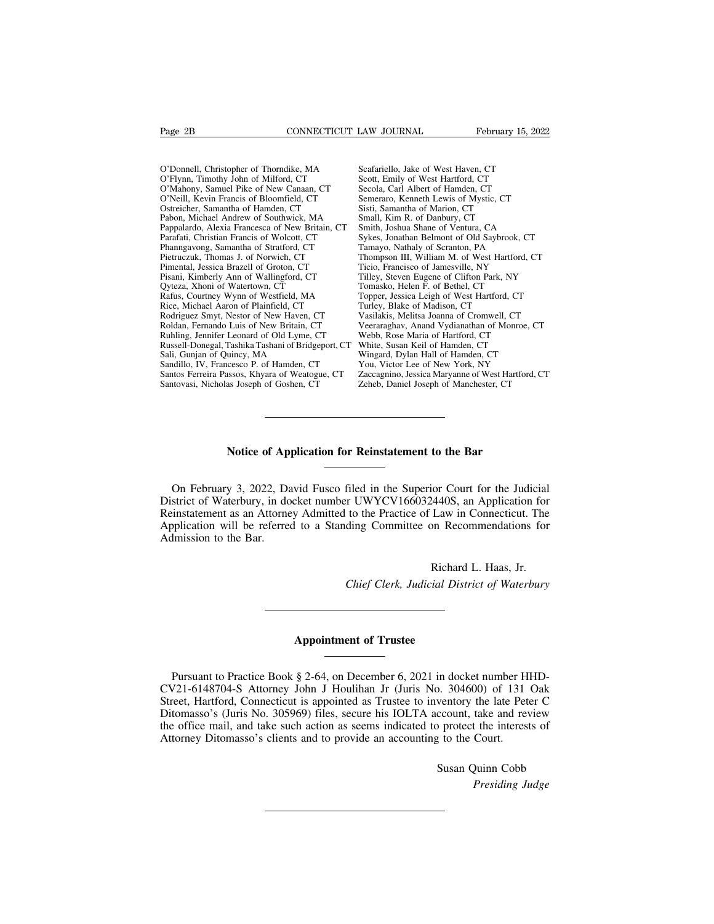Page 2B<br>
CONNECTICUT LAW<br>
O'Donnell, Christopher of Thorndike, MA<br>
O'Flynn, Timothy John of Milford, CT<br>
O'Mahony, Samuel Pike of New Canaan, CT<br>
Secol: Page 2B<br>
CONNECTICUT<br>
O'Donnell, Christopher of Thorndike, MA<br>
O'Flynn, Timothy John of Milford, CT<br>
O'Mahony, Samuel Pike of New Canaan, CT<br>
O'Neill, Kevin Francis of Bloomfield, CT Page 2B<br>
CONNECTICUT LAW<br>
O'Donnell, Christopher of Thorndike, MA<br>
O'Flynn, Timothy John of Milford, CT<br>
O'Mahony, Samuel Pike of New Canaan, CT<br>
O'Meill, Kevin Francis of Bloomfield, CT<br>
O'Neill, Kevin Francis of Bloomfie Trage 2D<br>
O'Donnell, Christopher of Thorndike, MA<br>
O'Flynn, Timothy John of Milford, CT<br>
O'Mahony, Samuel Pike of New Canaan, CT<br>
O'Meill, Kevin Francis of Bloomfield, CT<br>
O'Neill, Kevin Francis of Bloomfield, CT<br>
Ostreich O'Donnell, Christopher of Thorndike, MA<br>O'Flynn, Timothy John of Milford, CT<br>O'Mahony, Samuel Pike of New Canaan, CT<br>O'Neill, Kevin Francis of Bloomfield, CT<br>Ostreicher, Samantha of Hamden, CT<br>Pabon, Michael Andrew of Sout O'Donnell, Christopher of Thorndike, MA<br>
O'Flynn, Timothy John of Milford, CT<br>
O'Mahony, Samuel Pike of New Canaan, CT<br>
O'Neill, Kevin Francis of Bloomfield, CT<br>
O'Neill, Kevin Francis of Bloomfield, CT<br>
Pabon, Michael And O'Donnell, Christopher of Thorndike, MA<br>
O'Flynn, Timothy John of Milford, CT<br>
C'Mahony, Samuel Pike of New Canaan, CT<br>
C'Neill, Kevin Francis of Bloomfield, CT<br>
Secola, Ca<br>
O'Neill, Kevin Francis of Bloomfield, CT<br>
Semera Sommar, Christian Francisco, Entrinsic, Commar<br>
O'Flynn, Timothy John of Milford, CT<br>
C'Nahony, Samuel Pike of New Canaan, CT<br>
Secondary, Samantha of Hamden, CT<br>
O'Neill, Kevin Francis of Bloomfield, CT<br>
Patricular, CT<br>
Pa O'Mahony, Samuel Pike of New Canaan, CT<br>
O'Mahony, Samuel Pike of New Canaan, CT<br>
O'Neill, Kevin Francis of Bloomfield, CT<br>
Ostreicher, Samantha of Hamden, CT<br>
Pabon, Michael Andrew of Southwick, MA<br>
Pappalardo, Alexia Fra O'Meilll, Kevin Francis of Bloomfield, CT<br>O'Meilll, Kevin Francis of Bloomfield, CT<br>Ostreicher, Samantha of Hamden, CT<br>Pabon, Michael Andrew of Southwick, MA<br>Pappalardo, Alexia Francesca of New Britain, CT<br>Phanngavong, Sam O Fouri, Even Friends of Broomines, CF Continues, CF Continues, CF Cabon, Michael Andrew of Southwick, MA<br>Pappalardo, Alexia Francesca of New Britain, CT<br>Parafati, Christian Francis of Wolcott, CT<br>Piatruczuk, Thomas J. of Sacreton, Samaling of Southwick, MA<br>
Pabon, Michael Andrew of Southwick, MA<br>
Pappalardo, Alexia Francesca of New Britain, CT<br>
Parafati, Christian Francis of Wolcott, CT<br>
Phanngavong, Samantha of Stratford, CT<br>
Pietruczuk, Pabon, Michael Andrew of Southwick, MA<br>Pappalardo, Alexia Francesca of New Britain, CT<br>Parafati, Christian Francis of Wolcott, CT<br>Phanngavong, Samantha of Stratford, CT<br>Piteruczuk, Thomas J. of Norwich, CT<br>Piteruczuk, Thom Fighmato, Theories of Note Brafati, Christian Francis of Wolcott, CT<br>
Parafati, Christian Francis of Wolcott, CT<br>
Pietruczuk, Thomas J. of Norwich, CT<br>
Pietruczuk, Thomas J. of Norwich, CT<br>
Pietruczuk, Thomas J. of Norwich raman, Canistan Transis or Wood, CT<br>Phanngavong, Samantha of Strafford, CT<br>Pietruczuk, Thomas J. of Norwich, CT<br>Pimental, Jessica Brazell of Groton, CT<br>Pisani, Kimberly Ann of Wallingford, CT<br>Qyteza, Xhoni of Watertown, CT Final and a business of Norwich, CT<br>Pietruczuk, Thomas J. of Norwich, CT<br>Pimental, Jessica Brazell of Groton, CT<br>Pisani, Kimberly Ann of Wallingford, CT<br>Cyteza, Xhoni of Watertown, CT<br>Rafus, Courtney Wynn of Westfield, MA<br> Pienental, Jessica Brazell of Groton, CT<br>
Pienental, Jessica Brazell of Groton, CT<br>
Pisani, Kimberly Ann of Wallingford, CT<br>
Pisani, Kimberly Ann of Wallingford, CT<br>
To Rafus, Courtney Wynn of Westfield, MA<br>
Rice, Michael Finchai, Josson Dracken or Groom, CT<br>Pisani, Kimberly Ann of Wallingford, CT<br>Qyteza, Xhoni of Watertown, CT<br>Rafus, Courtney Wynn of Westfield, MA<br>Rice, Michael Aaron of Plainfield, CT<br>Rodriguez Smyt, Nestor of New Britain, Fasian, Kimochy Yam of Watertown, CT<br>
Tashan, Ringgeord, CT<br>
Rafus, Courtney Wynn of Westfield, MA<br>
Rice, Michael Aaron of Plainfield, CT<br>
Rodriguez Smyt, Nestor of New Haven, CT<br>
Rodriguez Smyt, Nestor of New Haven, CT<br>
R Syloza, Namin of Westfield, MA<br>Rafus, Courtney Wynn of Westfield, MA<br>Rice, Michael Aaron of Plainfield, CT<br>Rodriguez Smyt, Nestor of New Haven, CT<br>Roldan, Fernando Luis of New Britain, CT<br>Ruhling, Jennifer Leonard of Old L Rice, Michael Aaron of Plainfield, CT<br>
Rice, Michael Aaron of Plainfield, CT<br>
Rodriguez Smyt, Nestor of New Haven, CT<br>
Rodran, Fernando Luis of New Britain, CT<br>
Russell-Donegal, Tashika Tashani of Bridgeport, CT<br>
We<br>
Russe Rodriguez Smyt, Nestor of New Haven, CT<br>Rodriguez Smyt, Nestor of New Haven, CT<br>Roldan, Fernando Luis of New Britain, CT<br>Russell-Donegal, Tashika Tashani of Bridgeport, CT<br>Russell-Donegal, Tashika Tashani of Bridgeport, CT Roldan, Fernando Luis of New Britain, CT<br>Roldan, Fernando Luis of New Britain, CT<br>Ruhling, Jennifer Leonard of Old Lyme, CT<br>Russell-Donegal, Tashika Tashani of Bridgeport, CT<br>We<br>Sail, Gunjan of Quincy, MA<br>Sandillo, IV, Fra

**Notice of Application for Reinstatement to the Bar**<br> **Notice of Application for Reinstatement to the Bar**<br> **Notice of Application for Reinstatement to the Bar** Example 15, 2023<br>Scafariello, Jake of West Haven, CT<br>Scott, Emily of West Hartford, CT<br>Secola, Carl Albert of Hamden, CT LAW JOURNAL<br>
Scafariello, Jake of West Haven, CT<br>
Scott, Emily of West Hartford, CT<br>
Secola, Carl Albert of Hamden, CT<br>
Semeraro, Kenneth Lewis of Mystic, CT LAW JOURNAL<br>
Scafariello, Jake of West Haven, CT<br>
Scafariello, Jake of West Haven, CT<br>
Sccola, Carl Albert of Hamden, CT<br>
Secola, Carl Albert of Hamden, CT<br>
Semeraro, Kenneth Lewis of Mystic, CT<br>
Sisti, Samantha of Marion, February 15, 2022<br>
Scafariello, Jake of West Haven, CT<br>
Scott, Emily of West Hartford, CT<br>
Scocla, Carl Albert of Hamden, CT<br>
Semeraro, Kenneth Lewis of Mystic, CT<br>
Sisti, Samantha of Marion, CT<br>
Small, Kim R. of Danbury, Scafariello, Jake of West Haven, CT<br>Scott, Emily of West Hartford, CT<br>Secola, Carl Albert of Hamden, CT<br>Semeraro, Kenneth Lewis of Mystic, CT<br>Sisti, Samantha of Marion, CT<br>Small, Kim R. of Danbury, CT<br>Smith, Joshua Shane o Scafariello, Jake of West Haven, CT<br>Scott, Emily of West Hartford, CT<br>Scotla, Carl Albert of Hamden, CT<br>Semeraro, Kenneth Lewis of Mystic, CT<br>Sisti, Samantha of Marion, CT<br>Sisti, Samantha of Marion, CT<br>Smill, Kim R. of Dan Scafariello, Jake of West Haven, CT<br>Scott, Emily of West Hartford, CT<br>Secola, Carl Albert of Hamden, CT<br>Semeraro, Kenneth Lewis of Mystic, CT<br>Sisti, Samantha of Marion, CT<br>Small, Kim R. of Danbury, CT<br>Smith, Joshua Shane o Scatt, Emily of West Hartford, CT<br>Scott, Emily of West Hartford, CT<br>Secola, Carl Albert of Hamden, CT<br>Semeraro, Kenneth Lewis of Mystic, CT<br>Sisti, Samantha of Marion, CT<br>Small, Kim R. of Danbury, CT<br>Sykes, Jonathan Belmont Secola, Carl y or west randroid, CT<br>Secola, Carl Albert of Hamden, CT<br>Serola, Carl Albert of Hamden, CT<br>Sisti, Samantha of Marion, CT<br>Smill, Kim R. of Danbury, CT<br>Smith, Joshua Shane of Ventura, CA<br>Sykes, Jonathan Belmont Scom, can Thompson Semeraro, Kenneth Lewis of Nystic, CT<br>Sisti, Samantha of Marion, CT<br>Small, Kim R. of Danbury, CT<br>Smith, Joshua Shane of Ventura, CA<br>Sykes, Jonathan Belmont of Old Saybrook, CT<br>Tamayo, Nathaly of Scranton Scini, Samantha of Marion, CT<br>Sisti, Samantha of Marion, CT<br>Small, Kim R. of Danbury, CT<br>Small, Kim R. of Danbury, CT<br>Small, Ioshua Shane of Ventura, CA<br>Sykes, Jonathan Belmont of Old Saybrook, CT<br>Tamayo, Nathaly of Scrant Sina, Samaman of Marion, CT<br>Small, Kim R. of Danbury, CT<br>Small, Joshua Shane of Ventura, CA<br>Sykes, Jonathan Belmont of Old Saybrook, CT<br>Tamayo, Nathaly of Scranton, PA<br>Thompson III, William M. of West Hartford, CT<br>Ticio, F Smith, Joshua Shane of Ventura, CA<br>Sykes, Jonathan Belmont of Old Saybrook, CT<br>Tamayo, Nathaly of Scranton, PA<br>Thompson III, William M. of West Hartford, C<br>Ticio, Francisco of Jamesville, NY<br>Tilley, Steven Eugene of Clifto Simmi, Joshida Simus o' vendan, Cri<br>Sykes, Jonathan Belmont of Old Saybrook, CT<br>Tamayo, Nathaly of Scranton, PA<br>Thompson III, William M. of West Hartford, CT<br>Ticio, Francisco of Jamesville, NY<br>Tilley, Steven Eugene of Clif System, Johnalm Demonton Orto Gaybrook, Tamayo, Nathaly of Scranton, PA<br>Thempson III, William M. of West Hartford<br>Ticio, Francisco of Jamesville, NY<br>Tilley, Steven Eugene of Clifton Park, NY<br>Tomper, Jessica Leigh of West H Tamnyo, Taminyo Torianion, Tri<br>Thompson III, William M. of West Hartford, CT<br>Ticio, Francisco of Jamesville, NY<br>Tilley, Steven Eugene of Clifton Park, NY<br>Tomasko, Helen F. of Bethel, CT<br>Tupey, Blake of Madison, CT<br>Vasilaki Trion, Francisco of Jamesville, NY<br>Triley, Steven Eugene of Clifton Park, NY<br>Tilley, Steven Eugene of Clifton Park, NY<br>Tomasko, Helen F. of Bethel, CT<br>Torper, Jessica Leigh of West Hartford, CT<br>Turley, Blake of Madison, CT Trilley, Steven Eugene of Clifton Park, NY<br>Tilley, Steven Eugene of Clifton Park, NY<br>Tomasko, Helen F. of Bethel, CT<br>Torper, Jessica Leigh of West Hartford, CT<br>Turley, Blake of Madison, CT<br>Vesiraraghav, Anand Vydianathan o From Soven Liggen of Christmar Tank, Willy<br>Tomasko, Helen F. of Bethel, CT<br>Topper, Jessica Leigh of West Hartford, CT<br>Turley, Blake of Madison, CT<br>Vesilakis, Melitsa Joanna of Cromwell, CT<br>Webb, Rose Maria of Hartford, CT<br> Formaso, Techn 1: 01 Detail, They Topper, Jessica Leigh of West Hartford, CT<br>Turley, Blake of Madison, CT<br>Vasilakis, Melitsa Joanna of Cromwell, CT<br>Veeraraghav, Anand Vydianathan of Monroe, CT<br>Webb, Rose Maria of Hartford, Topper, sessical Exiger of West Trailcord, CT<br>Turley, Blake of Madison, CT<br>Vasilakis, Melitsa Joanna of Cromwell, CT<br>Veeraraghav, Anand Vydianathan of Monroe, CT<br>Webb, Rose Maria of Hamden, CT<br>Whigard, Dylan Hall of Hamden Tancy, Danko of Mandson, Cr<br>Vasilakis, Melitsa Joanna of Cromwell, CT<br>Veeraraghav, Anand Vydianathan of Monroe, CT<br>Webb, Rose Maria of Hartford, CT<br>White, Susan Keil of Hamden, CT<br>Wingard, Dylan Hall of Hamden, CT<br>You, Vic Veeraraghav, Anand Vydianathan of Monwen, Weeraraghav, Anand Vydianathan of Mon<br>Webb, Rose Maria of Hartford, CT<br>White, Susan Keil of Hamden, CT<br>Wingard, Dylan Hall of Hamden, CT<br>You, Victor Lee of New York, NY<br>Zaccagnino,

Notice of Application for Reinstatement to the Bar<br>
On February 3, 2022, David Fusco filed in the Superior Court for the Judicial<br>
strict of Waterbury, in docket number UWYCV166032440S, an Application for<br>
einstatement as Notice of Application for Reinstatement to the Bar<br>
On February 3, 2022, David Fusco filed in the Superior Court for the Judicial<br>
District of Waterbury, in docket number UWYCV166032440S, an Application for<br>
Reinstatement Notice of Application for Reinstatement to the Bar<br>
Theorem Theorem Theorem Theorem Counter of Waterbury, in docket number UWYCV166032440S, an Application for<br>
Reinstatement as an Attorney Admitted to the Practice of Law i Notice of Application for Reinstatement to the Bar<br> **Allen Committee Committee Committee Constant**<br>
District of Waterbury, in docket number UWYCV166032440S, an Application for<br>
Reinstatement as an Attorney Admitted to the Totate of Ap<br>
On February 3, 2022, Da<br>
District of Waterbury, in do<br>
Reinstatement as an Attorne<br>
Application will be referred<br>
Admission to the Bar. Friest Court for the Judicial<br>1440S, an Application for<br>Law in Connecticut. The<br>D. Recommendations for<br>Richard L. Haas, Jr.<br>idl District of Waterbury *CHERRY CV 166032440S, an Application for*<br>to the Practice of Law in Connecticut. The<br>ding Committee on Recommendations for<br>Richard L. Haas, Jr.<br>Chief Clerk, Judicial District of Waterbury

Richar<br>
Chief Clerk, Judicial Dis<br> **Appointment of Trustee** 

Appointment of Trustee<br>
Pursuant to Practice Book § 2-64, on December 6, 2021 in docket number HHD-<br>
V21-6148704-S Attorney John J Houlihan Jr (Juris No. 304600) of 131 Oak<br>
reet, Hartford, Connecticut is appointed as Trus Appointment of Trustee<br>
Tursuant to Practice Book § 2-64, on December 6, 2021 in docket number HHD-<br>
CV21-6148704-S Attorney John J Houlihan Jr (Juris No. 304600) of 131 Oak<br>
Street, Hartford, Connecticut is appointed as T Appointment of Trustee<br>
Street, Hartford, Connectice Book § 2-64, on December 6, 2021 in docket number HHD-<br>
CV21-6148704-S Attorney John J Houlihan Jr (Juris No. 304600) of 131 Oak<br>
Street, Hartford, Connecticut is appoin Appointment of Trustee<br>
Dursuant to Practice Book § 2-64, on December 6, 2021 in docket number HHD-<br>
CV21-6148704-S Attorney John J Houlihan Jr (Juris No. 304600) of 131 Oak<br>
Street, Hartford, Connecticut is appointed as T Pursuant to Practice Book § 2-64, on December 6, 2021 in docket number HHD-<br>CV21-6148704-S Attorney John J Houlihan Jr (Juris No. 304600) of 131 Oak<br>Street, Hartford, Connecticut is appointed as Trustee to inventory the la Pursuant to Practice Book § 2-64, on December 6, 2021 in docket number H<br>CV21-6148704-S Attorney John J Houlihan Jr (Juris No. 304600) of 131<br>Street, Hartford, Connecticut is appointed as Trustee to inventory the late Pet<br> Summer to the late Peter C<br>
Superlanger Cocount, take and review<br>
Superlanger protect the interests of<br>
Susan Quinn Cobb<br> *Presiding Judge Peter C*<br> *Presiding The Seter C*<br> *Presiding Judge*<br> *Presiding Judge*